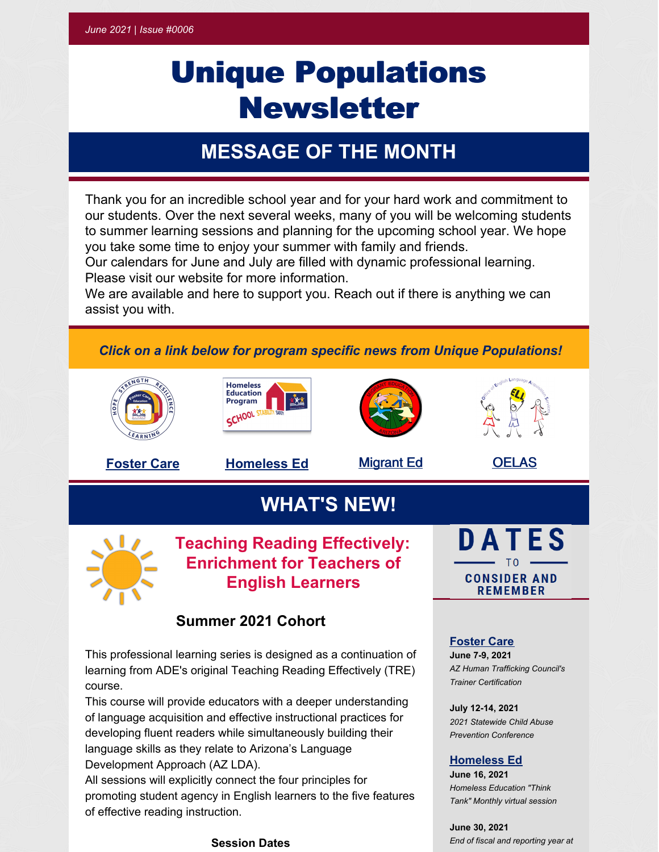# Unique Populations **Newsletter**

# **MESSAGE OF THE MONTH**

Thank you for an incredible school year and for your hard work and commitment to our students. Over the next several weeks, many of you will be welcoming students to summer learning sessions and planning for the upcoming school year. We hope you take some time to enjoy your summer with family and friends.

Our calendars for June and July are filled with dynamic professional learning. Please visit our website for more information.

We are available and here to support you. Reach out if there is anything we can assist you with.

### *Click on a link below for program specific news from Unique Populations!*









**[Foster Care](https://www.azed.gov/sites/default/files/2022/01/FC%20Newsletter%20June%20July%202021.pdf) [Homeless Ed](https://www.azed.gov/sites/default/files/2022/01/Homeless%20Newsletter%20Templates%20_6.1.21_.pdf)** [Migrant Ed](https://www.azed.gov/sites/default/files/2022/01/June%202021%20MEP%20Newsletter%20draft%20_002_.pdf) [OELAS](https://www.azed.gov/sites/default/files/2022/01/OELAS%20June%202021%20Newsletter_DRAFTII.pdf)



# **WHAT'S NEW!**



**Teaching Reading Effectively: Enrichment for Teachers of English Learners**

### **Summer 2021 Cohort**

This professional learning series is designed as a continuation of learning from ADE's original Teaching Reading Effectively (TRE) course.

This course will provide educators with a deeper understanding of language acquisition and effective instructional practices for developing fluent readers while simultaneously building their language skills as they relate to Arizona's Language Development Approach (AZ LDA).

All sessions will explicitly connect the four principles for promoting student agency in English learners to the five features of effective reading instruction.

#### **Session Dates**

## **DATES CONSIDER AND REMEMBER**

#### **Foster Care**

**June 7-9, 2021**  *AZ Human Trafficking Council's Trainer Certification*

**July 12-14, 2021** *2021 Statewide Child Abuse Prevention Conference*

#### **Homeless Ed**

**June 16, 2021** *Homeless Education "Think Tank" Monthly virtual session*

**June 30, 2021** *End of fiscal and reporting year at*